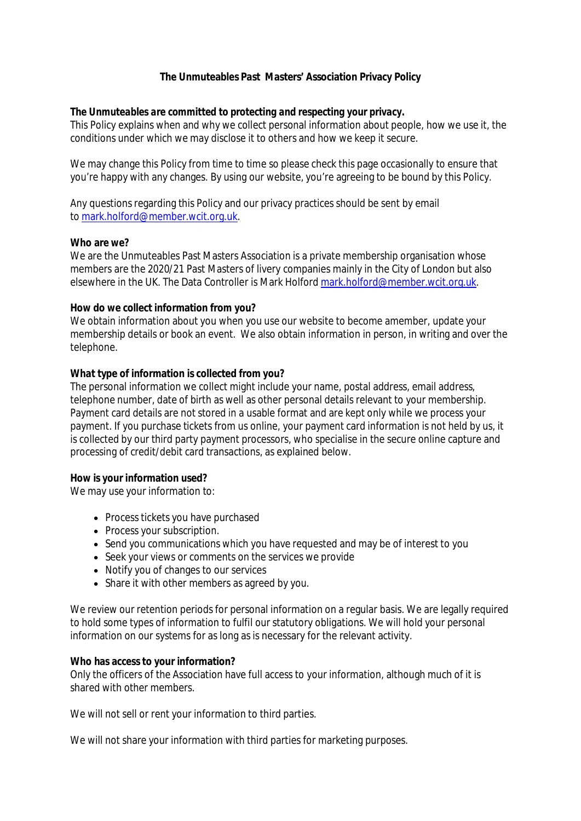# **The Unmuteables Past Masters' Association Privacy Policy**

## *The Unmuteables are committed to protecting and respecting your privacy.*

This Policy explains when and why we collect personal information about people, how we use it, the conditions under which we may disclose it to others and how we keep it secure.

We may change this Policy from time to time so please check this page occasionally to ensure that you're happy with any changes. By using our website, you're agreeing to be bound by this Policy.

Any questions regarding this Policy and our privacy practices should be sent by email to mark.holford@member.wcit.org.uk.

### **Who are we?**

We are the Unmuteables Past Masters Association is a private membership organisation whose members are the 2020/21 Past Masters of livery companies mainly in the City of London but also elsewhere in the UK. The Data Controller is Mark Holford mark.holford@member.wcit.org.uk.

### **How do we collect information from you?**

We obtain information about you when you use our website to become amember, update your membership details or book an event. We also obtain information in person, in writing and over the telephone.

### **What type of information is collected from you?**

The personal information we collect might include your name, postal address, email address, telephone number, date of birth as well as other personal details relevant to your membership. Payment card details are not stored in a usable format and are kept only while we process your payment. If you purchase tickets from us online, your payment card information is not held by us, it is collected by our third party payment processors, who specialise in the secure online capture and processing of credit/debit card transactions, as explained below.

**How is your information used?**

We may use your information to:

- Process tickets you have purchased
- Process your subscription.
- Send you communications which you have requested and may be of interest to you
- Seek your views or comments on the services we provide
- Notify you of changes to our services
- Share it with other members as agreed by you.

We review our retention periods for personal information on a regular basis. We are legally required to hold some types of information to fulfil our statutory obligations. We will hold your personal information on our systems for as long as is necessary for the relevant activity.

#### **Who has access to your information?**

Only the officers of the Association have full access to your information, although much of it is shared with other members.

We will not sell or rent your information to third parties.

We will not share your information with third parties for marketing purposes.